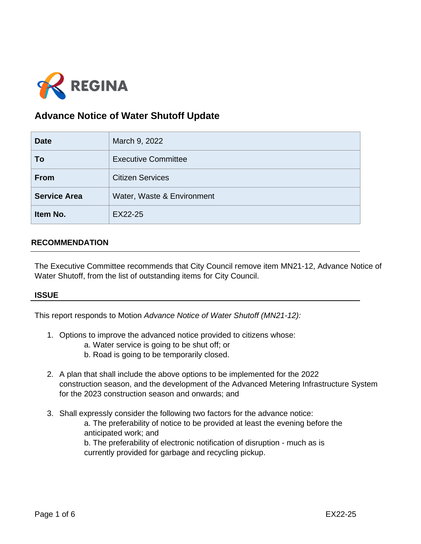

# **Advance Notice of Water Shutoff Update**

| <b>Date</b>         | March 9, 2022              |
|---------------------|----------------------------|
| To                  | <b>Executive Committee</b> |
| From                | <b>Citizen Services</b>    |
| <b>Service Area</b> | Water, Waste & Environment |
| Item No.            | EX22-25                    |

# **RECOMMENDATION**

The Executive Committee recommends that City Council remove item MN21-12, Advance Notice of Water Shutoff, from the list of outstanding items for City Council.

#### **ISSUE**

This report responds to Motion *Advance Notice of Water Shutoff (MN21-12):*

- 1. Options to improve the advanced notice provided to citizens whose:
	- a. Water service is going to be shut off; or
	- b. Road is going to be temporarily closed.
- 2. A plan that shall include the above options to be implemented for the 2022 construction season, and the development of the Advanced Metering Infrastructure System for the 2023 construction season and onwards; and
- 3. Shall expressly consider the following two factors for the advance notice:

a. The preferability of notice to be provided at least the evening before the anticipated work; and b. The preferability of electronic notification of disruption - much as is currently provided for garbage and recycling pickup.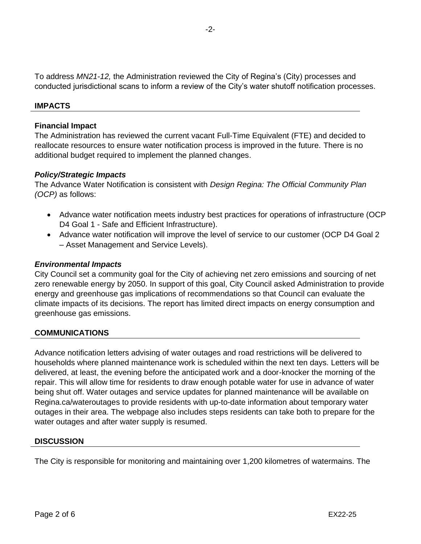-2-

To address *MN21-12,* the Administration reviewed the City of Regina's (City) processes and conducted jurisdictional scans to inform a review of the City's water shutoff notification processes.

## **IMPACTS**

## **Financial Impact**

The Administration has reviewed the current vacant Full-Time Equivalent (FTE) and decided to reallocate resources to ensure water notification process is improved in the future. There is no additional budget required to implement the planned changes.

## *Policy/Strategic Impacts*

The Advance Water Notification is consistent with *Design Regina: The Official Community Plan (OCP)* as follows:

- Advance water notification meets industry best practices for operations of infrastructure (OCP D4 Goal 1 - Safe and Efficient Infrastructure).
- Advance water notification will improve the level of service to our customer (OCP D4 Goal 2 – Asset Management and Service Levels).

## *Environmental Impacts*

City Council set a community goal for the City of achieving net zero emissions and sourcing of net zero renewable energy by 2050. In support of this goal, City Council asked Administration to provide energy and greenhouse gas implications of recommendations so that Council can evaluate the climate impacts of its decisions. The report has limited direct impacts on energy consumption and greenhouse gas emissions.

# **COMMUNICATIONS**

Advance notification letters advising of water outages and road restrictions will be delivered to households where planned maintenance work is scheduled within the next ten days. Letters will be delivered, at least, the evening before the anticipated work and a door-knocker the morning of the repair. This will allow time for residents to draw enough potable water for use in advance of water being shut off. Water outages and service updates for planned maintenance will be available on Regina.ca/wateroutages to provide residents with up-to-date information about temporary water outages in their area. The webpage also includes steps residents can take both to prepare for the water outages and after water supply is resumed.

#### **DISCUSSION**

The City is responsible for monitoring and maintaining over 1,200 kilometres of watermains. The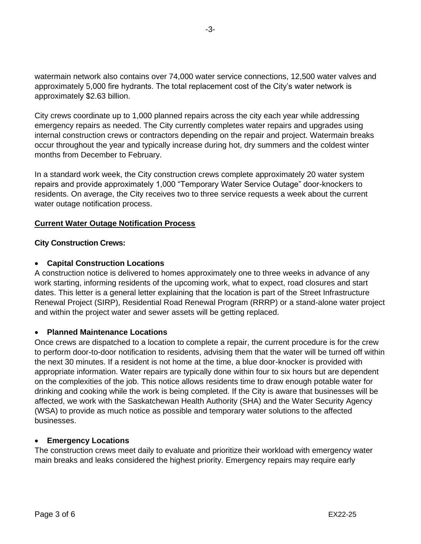watermain network also contains over 74,000 water service connections, 12,500 water valves and approximately 5,000 fire hydrants. The total replacement cost of the City's water network is approximately \$2.63 billion.

City crews coordinate up to 1,000 planned repairs across the city each year while addressing emergency repairs as needed. The City currently completes water repairs and upgrades using internal construction crews or contractors depending on the repair and project. Watermain breaks occur throughout the year and typically increase during hot, dry summers and the coldest winter months from December to February.

In a standard work week, the City construction crews complete approximately 20 water system repairs and provide approximately 1,000 "Temporary Water Service Outage" door-knockers to residents. On average, the City receives two to three service requests a week about the current water outage notification process.

# **Current Water Outage Notification Process**

# **City Construction Crews:**

# • **Capital Construction Locations**

A construction notice is delivered to homes approximately one to three weeks in advance of any work starting, informing residents of the upcoming work, what to expect, road closures and start dates. This letter is a general letter explaining that the location is part of the Street Infrastructure Renewal Project (SIRP), Residential Road Renewal Program (RRRP) or a stand-alone water project and within the project water and sewer assets will be getting replaced.

# • **Planned Maintenance Locations**

Once crews are dispatched to a location to complete a repair, the current procedure is for the crew to perform door-to-door notification to residents, advising them that the water will be turned off within the next 30 minutes. If a resident is not home at the time, a blue door-knocker is provided with appropriate information. Water repairs are typically done within four to six hours but are dependent on the complexities of the job. This notice allows residents time to draw enough potable water for drinking and cooking while the work is being completed. If the City is aware that businesses will be affected, we work with the Saskatchewan Health Authority (SHA) and the Water Security Agency (WSA) to provide as much notice as possible and temporary water solutions to the affected businesses.

# • **Emergency Locations**

The construction crews meet daily to evaluate and prioritize their workload with emergency water main breaks and leaks considered the highest priority. Emergency repairs may require early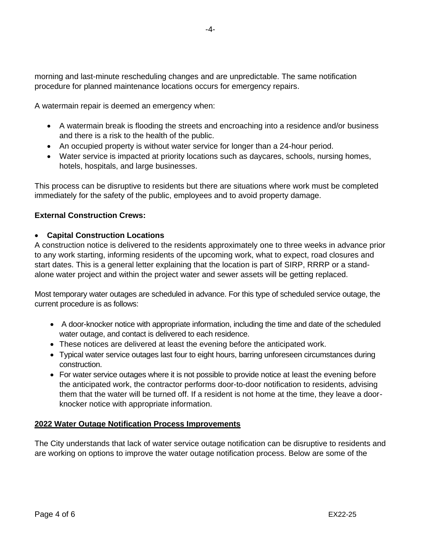morning and last-minute rescheduling changes and are unpredictable. The same notification procedure for planned maintenance locations occurs for emergency repairs.

A watermain repair is deemed an emergency when:

- A watermain break is flooding the streets and encroaching into a residence and/or business and there is a risk to the health of the public.
- An occupied property is without water service for longer than a 24-hour period.
- Water service is impacted at priority locations such as daycares, schools, nursing homes, hotels, hospitals, and large businesses.

This process can be disruptive to residents but there are situations where work must be completed immediately for the safety of the public, employees and to avoid property damage.

## **External Construction Crews:**

#### • **Capital Construction Locations**

A construction notice is delivered to the residents approximately one to three weeks in advance prior to any work starting, informing residents of the upcoming work, what to expect, road closures and start dates. This is a general letter explaining that the location is part of SIRP, RRRP or a standalone water project and within the project water and sewer assets will be getting replaced.

Most temporary water outages are scheduled in advance. For this type of scheduled service outage, the current procedure is as follows:

- A door-knocker notice with appropriate information, including the time and date of the scheduled water outage, and contact is delivered to each residence.
- These notices are delivered at least the evening before the anticipated work.
- Typical water service outages last four to eight hours, barring unforeseen circumstances during construction.
- For water service outages where it is not possible to provide notice at least the evening before the anticipated work, the contractor performs door-to-door notification to residents, advising them that the water will be turned off. If a resident is not home at the time, they leave a doorknocker notice with appropriate information.

#### **2022 Water Outage Notification Process Improvements**

The City understands that lack of water service outage notification can be disruptive to residents and are working on options to improve the water outage notification process. Below are some of the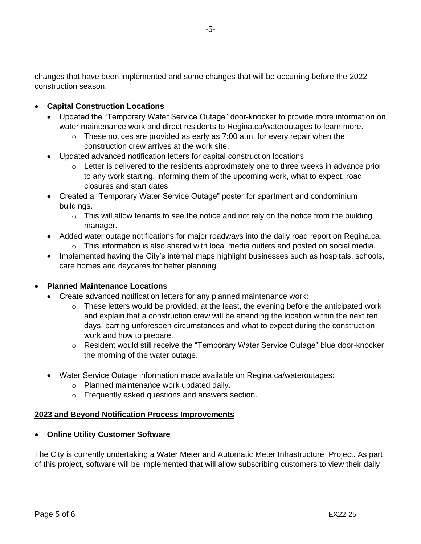changes that have been implemented and some changes that will be occurring before the 2022 construction season.

# • **Capital Construction Locations**

- Updated the "Temporary Water Service Outage" door-knocker to provide more information on water maintenance work and direct residents to Regina.ca/wateroutages to learn more.
	- $\circ$  These notices are provided as early as 7:00 a.m. for every repair when the construction crew arrives at the work site.
- Updated advanced notification letters for capital construction locations
	- o Letter is delivered to the residents approximately one to three weeks in advance prior to any work starting, informing them of the upcoming work, what to expect, road closures and start dates.
- Created a "Temporary Water Service Outage" poster for apartment and condominium buildings.
	- $\circ$  This will allow tenants to see the notice and not rely on the notice from the building manager.
- Added water outage notifications for major roadways into the daily road report on Regina.ca.
	- $\circ$  This information is also shared with local media outlets and posted on social media.
- Implemented having the City's internal maps highlight businesses such as hospitals, schools, care homes and daycares for better planning.

# • **Planned Maintenance Locations**

- Create advanced notification letters for any planned maintenance work:
	- $\circ$  These letters would be provided, at the least, the evening before the anticipated work and explain that a construction crew will be attending the location within the next ten days, barring unforeseen circumstances and what to expect during the construction work and how to prepare.
	- o Resident would still receive the "Temporary Water Service Outage" blue door-knocker the morning of the water outage.
- Water Service Outage information made available on Regina.ca/wateroutages:
	- o Planned maintenance work updated daily.
	- o Frequently asked questions and answers section.

#### **2023 and Beyond Notification Process Improvements**

# • **Online Utility Customer Software**

The City is currently undertaking a Water Meter and Automatic Meter Infrastructure Project. As part of this project, software will be implemented that will allow subscribing customers to view their daily